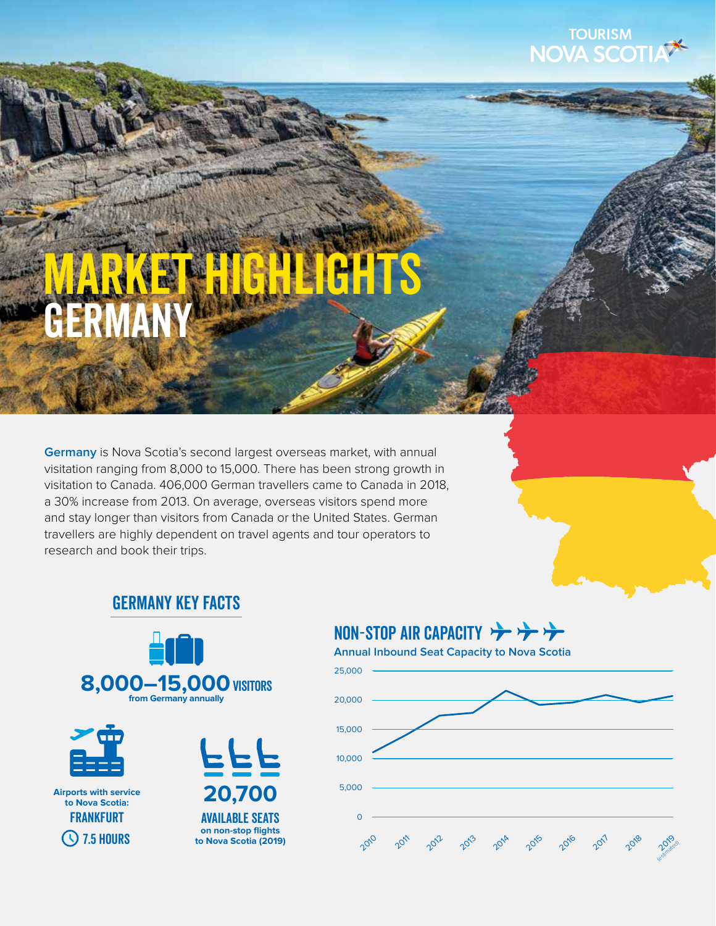

# germany **AHTS**

**Germany** is Nova Scotia's second largest overseas market, with annual visitation ranging from 8,000 to 15,000. There has been strong growth in visitation to Canada. 406,000 German travellers came to Canada in 2018, a 30% increase from 2013. On average, overseas visitors spend more and stay longer than visitors from Canada or the United States. German travellers are highly dependent on travel agents and tour operators to research and book their trips.



# GERMANY Key Facts



# NON-STOP AIR CAPACITY

**Annual Inbound Seat Capacity to Nova Scotia**

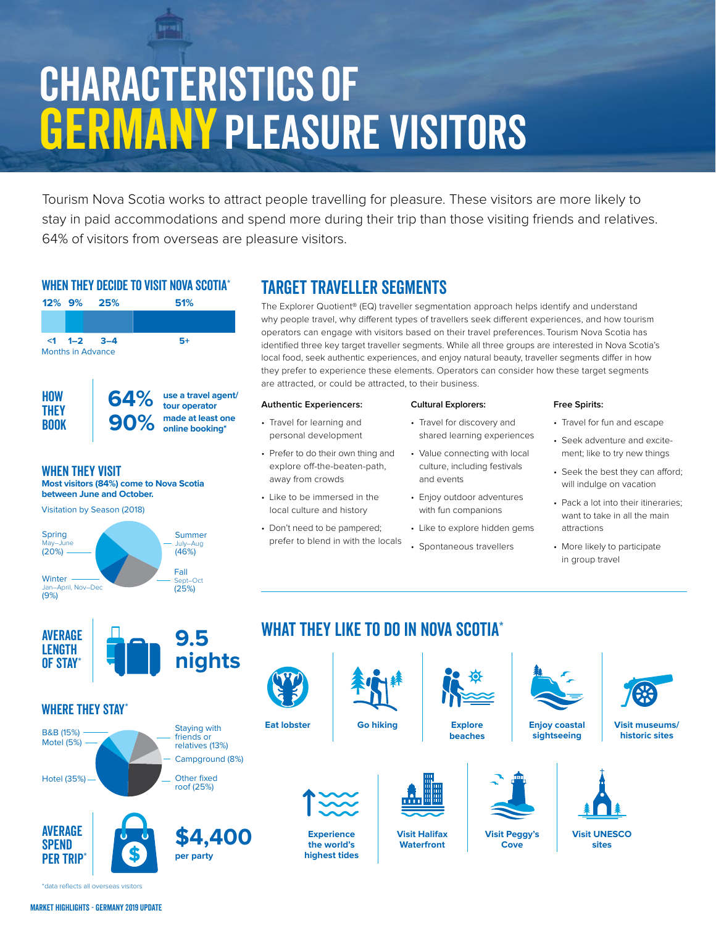# Characteristics of **GERMANY PLEASURE VISITORS**

Tourism Nova Scotia works to attract people travelling for pleasure. These visitors are more likely to stay in paid accommodations and spend more during their trip than those visiting friends and relatives. 64% of visitors from overseas are pleasure visitors.

### WHEN THEY DECIDE TO VISIT NOVA SCOTIA<sup>\*</sup>



Visitation by Season (2018)



# TARGET TRAVELLER SEGMENTS

The Explorer Quotient® (EQ) traveller segmentation approach helps identify and understand why people travel, why different types of travellers seek different experiences, and how tourism operators can engage with visitors based on their travel preferences. Tourism Nova Scotia has identified three key target traveller segments. While all three groups are interested in Nova Scotia's local food, seek authentic experiences, and enjoy natural beauty, traveller segments differ in how they prefer to experience these elements. Operators can consider how these target segments are attracted, or could be attracted, to their business.

#### **Authentic Experiencers:**

- Travel for learning and personal development
- Prefer to do their own thing and explore off-the-beaten-path, away from crowds
- Like to be immersed in the local culture and history
- Don't need to be pampered; prefer to blend in with the locals

### **Cultural Explorers:**

- Travel for discovery and shared learning experiences
- Value connecting with local culture, including festivals and events
- Enjoy outdoor adventures with fun companions
- Like to explore hidden gems
- Spontaneous travellers

#### **Free Spirits:**

- Travel for fun and escape
- Seek adventure and excitement; like to try new things
- Seek the best they can afford; will indulge on vacation
- Pack a lot into their itineraries; want to take in all the main attractions
- More likely to participate in group travel



### WHERE THEY STAY<sup>\*</sup>





# WHAT THEY LIKE TO DO IN NOVA SCOTIA\*



\*data reflects all overseas visitors

**AVERAGE SPEND** PER TRIP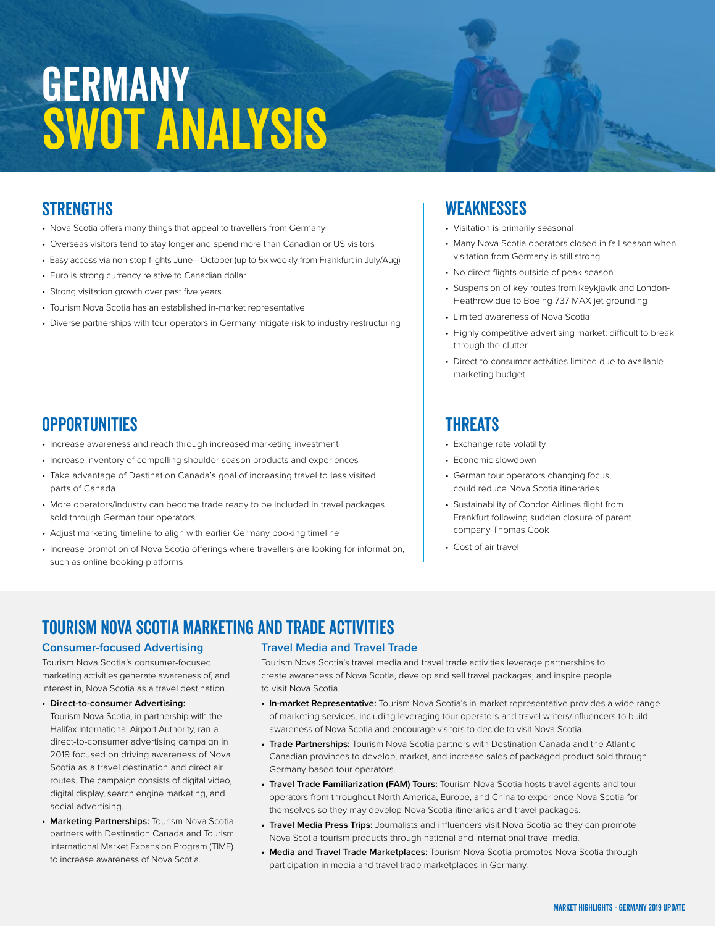# **GERMANY** SWOT Analysis

## **STRENGTHS**

- •Nova Scotia offers many things that appeal to travellers from Germany
- •Overseas visitors tend to stay longer and spend more than Canadian or US visitors
- •Easy access via non-stop flights June—October (up to 5x weekly from Frankfurt in July/Aug)
- •Euro is strong currency relative to Canadian dollar
- •Strong visitation growth over past five years
- •Tourism Nova Scotia has an established in-market representative
- •Diverse partnerships with tour operators in Germany mitigate risk to industry restructuring

## **WEAKNESSES**

- •Visitation is primarily seasonal
- •Many Nova Scotia operators closed in fall season when visitation from Germany is still strong
- •No direct flights outside of peak season
- Suspension of key routes from Reykjavik and London-Heathrow due to Boeing 737 MAX jet grounding
- Limited awareness of Nova Scotia
- Highly competitive advertising market; difficult to break through the clutter
- •Direct-to-consumer activities limited due to available marketing budget

## **OPPORTUNITIES**

- •Increase awareness and reach through increased marketing investment
- •Increase inventory of compelling shoulder season products and experiences
- •Take advantage of Destination Canada's goal of increasing travel to less visited parts of Canada
- •More operators/industry can become trade ready to be included in travel packages sold through German tour operators
- •Adjust marketing timeline to align with earlier Germany booking timeline
- •Increase promotion of Nova Scotia offerings where travellers are looking for information, such as online booking platforms

### **THREATS**

- •Exchange rate volatility
- •Economic slowdown
- •German tour operators changing focus, could reduce Nova Scotia itineraries
- •Sustainability of Condor Airlines flight from Frankfurt following sudden closure of parent company Thomas Cook
- •Cost of air travel

# TOURISM NOVA SCOTIA MARKETING and Trade ACTIVITIES

#### **Consumer-focused Advertising**

Tourism Nova Scotia's consumer-focused marketing activities generate awareness of, and interest in, Nova Scotia as a travel destination.

#### **• Direct-to-consumer Advertising:**

Tourism Nova Scotia, in partnership with the Halifax International Airport Authority, ran a direct-to-consumer advertising campaign in 2019 focused on driving awareness of Nova Scotia as a travel destination and direct air routes. The campaign consists of digital video, digital display, search engine marketing, and social advertising.

**• Marketing Partnerships:** Tourism Nova Scotia partners with Destination Canada and Tourism International Market Expansion Program (TIME) to increase awareness of Nova Scotia.

#### **Travel Media and Travel Trade**

Tourism Nova Scotia's travel media and travel trade activities leverage partnerships to create awareness of Nova Scotia, develop and sell travel packages, and inspire people to visit Nova Scotia.

- **In-market Representative:** Tourism Nova Scotia's in-market representative provides a wide range of marketing services, including leveraging tour operators and travel writers/influencers to build awareness of Nova Scotia and encourage visitors to decide to visit Nova Scotia.
- **Trade Partnerships:** Tourism Nova Scotia partners with Destination Canada and the Atlantic Canadian provinces to develop, market, and increase sales of packaged product sold through Germany-based tour operators.
- **Travel Trade Familiarization (FAM) Tours:** Tourism Nova Scotia hosts travel agents and tour operators from throughout North America, Europe, and China to experience Nova Scotia for themselves so they may develop Nova Scotia itineraries and travel packages.
- **Travel Media Press Trips:** Journalists and influencers visit Nova Scotia so they can promote Nova Scotia tourism products through national and international travel media.
- **Media and Travel Trade Marketplaces:** Tourism Nova Scotia promotes Nova Scotia through participation in media and travel trade marketplaces in Germany.